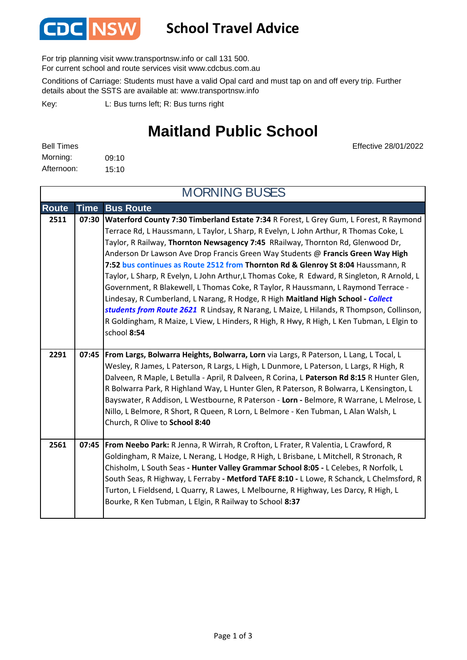

## **School Travel Advice**

For trip planning visit www.transportnsw.info or call 131 500.

For current school and route services visit www.cdcbus.com.au

Conditions of Carriage: Students must have a valid Opal card and must tap on and off every trip. Further details about the SSTS are available at: www.transportnsw.info

L: Bus turns left; R: Bus turns right Key:

## **Maitland Public School**

MORNING BUSES

| <b>Bell Times</b> |       |
|-------------------|-------|
| Morning:          | 09:10 |
| Afternoon:        | 15:10 |

Effective 28/01/2022

| <b>MORNING BUSES</b> |             |                                                                                                                                                                                                                                                                                                                                                                                                                                                                                                                                                                                                                                                                                                                                                                                                                                                                                                                           |
|----------------------|-------------|---------------------------------------------------------------------------------------------------------------------------------------------------------------------------------------------------------------------------------------------------------------------------------------------------------------------------------------------------------------------------------------------------------------------------------------------------------------------------------------------------------------------------------------------------------------------------------------------------------------------------------------------------------------------------------------------------------------------------------------------------------------------------------------------------------------------------------------------------------------------------------------------------------------------------|
| <b>Route</b>         | <b>Time</b> | <b>Bus Route</b>                                                                                                                                                                                                                                                                                                                                                                                                                                                                                                                                                                                                                                                                                                                                                                                                                                                                                                          |
| 2511                 | 07:30       | Waterford County 7:30 Timberland Estate 7:34 R Forest, L Grey Gum, L Forest, R Raymond<br>Terrace Rd, L Haussmann, L Taylor, L Sharp, R Evelyn, L John Arthur, R Thomas Coke, L<br>Taylor, R Railway, Thornton Newsagency 7:45 RRailway, Thornton Rd, Glenwood Dr,<br>Anderson Dr Lawson Ave Drop Francis Green Way Students @ Francis Green Way High<br>7:52 bus continues as Route 2512 from Thornton Rd & Glenroy St 8:04 Haussmann, R<br>Taylor, L Sharp, R Evelyn, L John Arthur,L Thomas Coke, R Edward, R Singleton, R Arnold, L<br>Government, R Blakewell, L Thomas Coke, R Taylor, R Haussmann, L Raymond Terrace -<br>Lindesay, R Cumberland, L Narang, R Hodge, R High Maitland High School - Collect<br>students from Route 2621 R Lindsay, R Narang, L Maize, L Hilands, R Thompson, Collinson,<br>R Goldingham, R Maize, L View, L Hinders, R High, R Hwy, R High, L Ken Tubman, L Elgin to<br>school 8:54 |
| 2291                 | 07:45       | From Largs, Bolwarra Heights, Bolwarra, Lorn via Largs, R Paterson, L Lang, L Tocal, L<br>Wesley, R James, L Paterson, R Largs, L High, L Dunmore, L Paterson, L Largs, R High, R<br>Dalveen, R Maple, L Betulla - April, R Dalveen, R Corina, L Paterson Rd 8:15 R Hunter Glen,<br>R Bolwarra Park, R Highland Way, L Hunter Glen, R Paterson, R Bolwarra, L Kensington, L<br>Bayswater, R Addison, L Westbourne, R Paterson - Lorn - Belmore, R Warrane, L Melrose, L<br>Nillo, L Belmore, R Short, R Queen, R Lorn, L Belmore - Ken Tubman, L Alan Walsh, L<br>Church, R Olive to School 8:40                                                                                                                                                                                                                                                                                                                          |
| 2561                 | 07:45       | From Neebo Park: R Jenna, R Wirrah, R Crofton, L Frater, R Valentia, L Crawford, R<br>Goldingham, R Maize, L Nerang, L Hodge, R High, L Brisbane, L Mitchell, R Stronach, R<br>Chisholm, L South Seas - Hunter Valley Grammar School 8:05 - L Celebes, R Norfolk, L<br>South Seas, R Highway, L Ferraby - Metford TAFE 8:10 - L Lowe, R Schanck, L Chelmsford, R<br>Turton, L Fieldsend, L Quarry, R Lawes, L Melbourne, R Highway, Les Darcy, R High, L<br>Bourke, R Ken Tubman, L Elgin, R Railway to School 8:37                                                                                                                                                                                                                                                                                                                                                                                                       |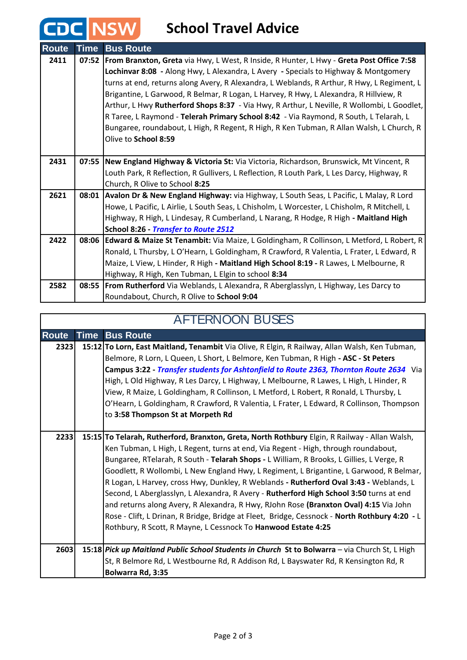## **CDC** NSW School Travel Advice

| <b>Route</b> | <b>Time</b> | <b>Bus Route</b>                                                                                |
|--------------|-------------|-------------------------------------------------------------------------------------------------|
| 2411         | 07:52       | <b>From Branxton, Greta</b> via Hwy, L West, R Inside, R Hunter, L Hwy - Greta Post Office 7:58 |
|              |             | Lochinvar 8:08 - Along Hwy, L Alexandra, L Avery - Specials to Highway & Montgomery             |
|              |             | turns at end, returns along Avery, R Alexandra, L Weblands, R Arthur, R Hwy, L Regiment, L      |
|              |             | Brigantine, L Garwood, R Belmar, R Logan, L Harvey, R Hwy, L Alexandra, R Hillview, R           |
|              |             | Arthur, L Hwy Rutherford Shops 8:37 - Via Hwy, R Arthur, L Neville, R Wollombi, L Goodlet,      |
|              |             | R Taree, L Raymond - Telerah Primary School 8:42 - Via Raymond, R South, L Telarah, L           |
|              |             | Bungaree, roundabout, L High, R Regent, R High, R Ken Tubman, R Allan Walsh, L Church, R        |
|              |             | Olive to School 8:59                                                                            |
|              |             |                                                                                                 |
| 2431         |             | 07:55 New England Highway & Victoria St: Via Victoria, Richardson, Brunswick, Mt Vincent, R     |
|              |             | Louth Park, R Reflection, R Gullivers, L Reflection, R Louth Park, L Les Darcy, Highway, R      |
|              |             | Church, R Olive to School 8:25                                                                  |
| 2621         | 08:01       | Avalon Dr & New England Highway: via Highway, L South Seas, L Pacific, L Malay, R Lord          |
|              |             | Howe, L Pacific, L Airlie, L South Seas, L Chisholm, L Worcester, L Chisholm, R Mitchell, L     |
|              |             | Highway, R High, L Lindesay, R Cumberland, L Narang, R Hodge, R High - Maitland High            |
|              |             | School 8:26 - Transfer to Route 2512                                                            |
| 2422         |             | 08:06 Edward & Maize St Tenambit: Via Maize, L Goldingham, R Collinson, L Metford, L Robert, R  |
|              |             | Ronald, L Thursby, L O'Hearn, L Goldingham, R Crawford, R Valentia, L Frater, L Edward, R       |
|              |             | Maize, L View, L Hinder, R High - Maitland High School 8:19 - R Lawes, L Melbourne, R           |
|              |             | Highway, R High, Ken Tubman, L Elgin to school 8:34                                             |
| 2582         |             | 08:55   From Rutherford Via Weblands, L Alexandra, R Aberglasslyn, L Highway, Les Darcy to      |
|              |             | Roundabout, Church, R Olive to School 9:04                                                      |

| <b>AFTERNOON BUSES</b> |             |                                                                                                |
|------------------------|-------------|------------------------------------------------------------------------------------------------|
| <b>Route</b>           | <b>Time</b> | <b>Bus Route</b>                                                                               |
| 2323                   |             | 15:12 To Lorn, East Maitland, Tenambit Via Olive, R Elgin, R Railway, Allan Walsh, Ken Tubman, |
|                        |             | Belmore, R Lorn, L Queen, L Short, L Belmore, Ken Tubman, R High - ASC - St Peters             |
|                        |             | Campus 3:22 - Transfer students for Ashtonfield to Route 2363, Thornton Route 2634 Via         |
|                        |             | High, L Old Highway, R Les Darcy, L Highway, L Melbourne, R Lawes, L High, L Hinder, R         |
|                        |             | View, R Maize, L Goldingham, R Collinson, L Metford, L Robert, R Ronald, L Thursby, L          |
|                        |             | O'Hearn, L Goldingham, R Crawford, R Valentia, L Frater, L Edward, R Collinson, Thompson       |
|                        |             | to 3:58 Thompson St at Morpeth Rd                                                              |
|                        |             |                                                                                                |
| 2233                   |             | 15:15 To Telarah, Rutherford, Branxton, Greta, North Rothbury Elgin, R Railway - Allan Walsh,  |
|                        |             | Ken Tubman, L High, L Regent, turns at end, Via Regent - High, through roundabout,             |
|                        |             | Bungaree, RTelarah, R South - Telarah Shops - L William, R Brooks, L Gillies, L Verge, R       |
|                        |             | Goodlett, R Wollombi, L New England Hwy, L Regiment, L Brigantine, L Garwood, R Belmar,        |
|                        |             | R Logan, L Harvey, cross Hwy, Dunkley, R Weblands - Rutherford Oval 3:43 - Weblands, L         |
|                        |             | Second, L Aberglasslyn, L Alexandra, R Avery - Rutherford High School 3:50 turns at end        |
|                        |             | and returns along Avery, R Alexandra, R Hwy, RJohn Rose (Branxton Oval) 4:15 Via John          |
|                        |             | Rose - Clift, L Drinan, R Bridge, Bridge at Fleet, Bridge, Cessnock - North Rothbury 4:20 - L  |
|                        |             | Rothbury, R Scott, R Mayne, L Cessnock To Hanwood Estate 4:25                                  |
|                        |             |                                                                                                |
| 2603                   |             | 15:18 Pick up Maitland Public School Students in Church St to Bolwarra - via Church St, L High |
|                        |             | St, R Belmore Rd, L Westbourne Rd, R Addison Rd, L Bayswater Rd, R Kensington Rd, R            |
|                        |             | Bolwarra Rd, 3:35                                                                              |